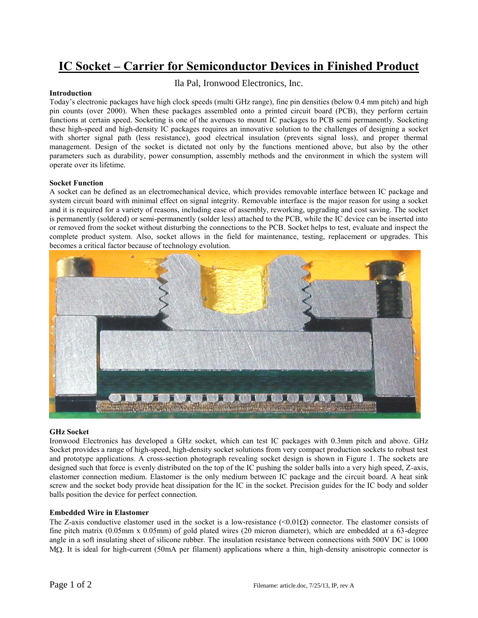# **IC Socket – Carrier for Semiconductor Devices in Finished Product**

## Ila Pal, Ironwood Electronics, Inc.

#### **Introduction**

Today's electronic packages have high clock speeds (multi GHz range), fine pin densities (below 0.4 mm pitch) and high pin counts (over 2000). When these packages assembled onto a printed circuit board (PCB), they perform certain functions at certain speed. Socketing is one of the avenues to mount IC packages to PCB semi permanently. Socketing these high-speed and high-density IC packages requires an innovative solution to the challenges of designing a socket with shorter signal path (less resistance), good electrical insulation (prevents signal loss), and proper thermal management. Design of the socket is dictated not only by the functions mentioned above, but also by the other parameters such as durability, power consumption, assembly methods and the environment in which the system will operate over its lifetime.

#### **Socket Function**

A socket can be defined as an electromechanical device, which provides removable interface between IC package and system circuit board with minimal effect on signal integrity. Removable interface is the major reason for using a socket and it is required for a variety of reasons, including ease of assembly, reworking, upgrading and cost saving. The socket is permanently (soldered) or semi-permanently (solder less) attached to the PCB, while the IC device can be inserted into or removed from the socket without disturbing the connections to the PCB. Socket helps to test, evaluate and inspect the complete product system. Also, socket allows in the field for maintenance, testing, replacement or upgrades. This becomes a critical factor because of technology evolution.



#### **GHz Socket**

Ironwood Electronics has developed a GHz socket, which can test IC packages with 0.3mm pitch and above. GHz Socket provides a range of high-speed, high-density socket solutions from very compact production sockets to robust test and prototype applications. A cross-section photograph revealing socket design is shown in Figure 1. The sockets are designed such that force is evenly distributed on the top of the IC pushing the solder balls into a very high speed, Z-axis, elastomer connection medium. Elastomer is the only medium between IC package and the circuit board. A heat sink screw and the socket body provide heat dissipation for the IC in the socket. Precision guides for the IC body and solder balls position the device for perfect connection.

#### **Embedded Wire in Elastomer**

The Z-axis conductive elastomer used in the socket is a low-resistance  $\langle 0.01 \Omega \rangle$  connector. The elastomer consists of fine pitch matrix (0.05mm x 0.05mm) of gold plated wires (20 micron diameter), which are embedded at a 63-degree angle in a soft insulating sheet of silicone rubber. The insulation resistance between connections with 500V DC is 1000  $M\Omega$ . It is ideal for high-current (50mA per filament) applications where a thin, high-density anisotropic connector is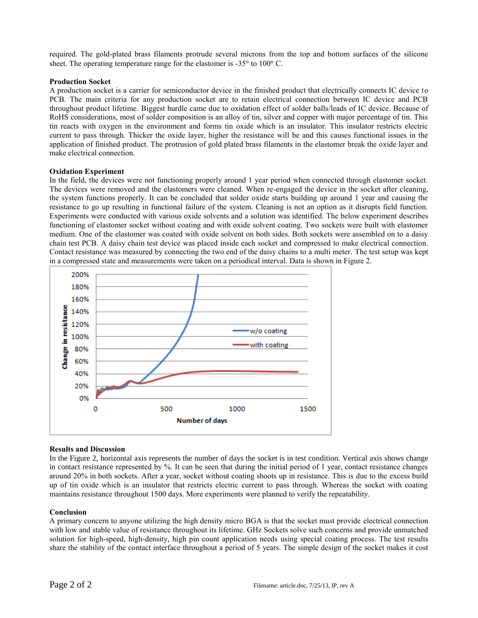required. The gold-plated brass filaments protrude several microns from the top and bottom surfaces of the silicone sheet. The operating temperature range for the elastomer is  $-35^{\circ}$  to  $100^{\circ}$  C.

## **Production Socket**

A production socket is a carrier for semiconductor device in the finished product that electrically connects IC device to PCB. The main criteria for any production socket are to retain electrical connection between IC device and PCB throughout product lifetime. Biggest hurdle came due to oxidation effect of solder balls/leads of IC device. Because of RoHS considerations, most of solder composition is an alloy of tin, silver and copper with major percentage of tin. This tin reacts with oxygen in the environment and forms tin oxide which is an insulator. This insulator restricts electric current to pass through. Thicker the oxide layer, higher the resistance will be and this causes functional issues in the application of finished product. The protrusion of gold plated brass filaments in the elastomer break the oxide layer and make electrical connection.

## **Oxidation Experiment**

In the field, the devices were not functioning properly around 1 year period when connected through elastomer socket. The devices were removed and the elastomers were cleaned. When re-engaged the device in the socket after cleaning, the system functions properly. It can be concluded that solder oxide starts building up around 1 year and causing the resistance to go up resulting in functional failure of the system. Cleaning is not an option as it disrupts field function. Experiments were conducted with various oxide solvents and a solution was identified. The below experiment describes functioning of elastomer socket without coating and with oxide solvent coating. Two sockets were built with elastomer medium. One of the elastomer was coated with oxide solvent on both sides. Both sockets were assembled on to a daisy chain test PCB. A daisy chain test device was placed inside each socket and compressed to make electrical connection. Contact resistance was measured by connecting the two end of the daisy chains to a multi meter. The test setup was kept in a compressed state and measurements were taken on a periodical interval. Data is shown in Figure 2.



## **Results and Discussion**

In the Figure 2, horizontal axis represents the number of days the socket is in test condition. Vertical axis shows change in contact resistance represented by %. It can be seen that during the initial period of 1 year, contact resistance changes around 20% in both sockets. After a year, socket without coating shoots up in resistance. This is due to the excess build up of tin oxide which is an insulator that restricts electric current to pass through. Whereas the socket with coating maintains resistance throughout 1500 days. More experiments were planned to verify the repeatability.

#### **Conclusion**

A primary concern to anyone utilizing the high density micro BGA is that the socket must provide electrical connection with low and stable value of resistance throughout its lifetime. GHz Sockets solve such concerns and provide unmatched solution for high-speed, high-density, high pin count application needs using special coating process. The test results share the stability of the contact interface throughout a period of 5 years. The simple design of the socket makes it cost